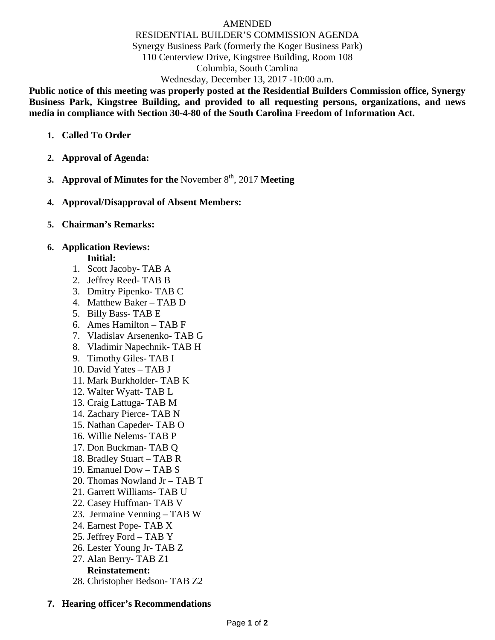#### AMENDED RESIDENTIAL BUILDER'S COMMISSION AGENDA Synergy Business Park (formerly the Koger Business Park) 110 Centerview Drive, Kingstree Building, Room 108 Columbia, South Carolina Wednesday, December 13, 2017 -10:00 a.m.

**Public notice of this meeting was properly posted at the Residential Builders Commission office, Synergy Business Park, Kingstree Building, and provided to all requesting persons, organizations, and news media in compliance with Section 30-4-80 of the South Carolina Freedom of Information Act.**

- **1. Called To Order**
- **2. Approval of Agenda:**
- **3. Approval of Minutes for the** November  $8<sup>th</sup>$ , 2017 **Meeting**
- **4. Approval/Disapproval of Absent Members:**
- **5. Chairman's Remarks:**

## **6. Application Reviews:**

#### **Initial:**

- 1. Scott Jacoby- TAB A
- 2. Jeffrey Reed- TAB B
- 3. Dmitry Pipenko- TAB C
- 4. Matthew Baker TAB D
- 5. Billy Bass- TAB E
- 6. Ames Hamilton TAB F
- 7. Vladislav Arsenenko- TAB G
- 8. Vladimir Napechnik- TAB H
- 9. Timothy Giles- TAB I
- 10. David Yates TAB J
- 11. Mark Burkholder- TAB K
- 12. Walter Wyatt- TAB L
- 13. Craig Lattuga- TAB M
- 14. Zachary Pierce- TAB N
- 15. Nathan Capeder- TAB O
- 16. Willie Nelems- TAB P
- 17. Don Buckman- TAB Q
- 18. Bradley Stuart TAB R
- 19. Emanuel Dow TAB S
- 20. Thomas Nowland Jr TAB T
- 21. Garrett Williams- TAB U
- 22. Casey Huffman- TAB V
- 23. Jermaine Venning TAB W
- 24. Earnest Pope- TAB X
- 25. Jeffrey Ford TAB Y
- 26. Lester Young Jr- TAB Z
- 27. Alan Berry- TAB Z1

# **Reinstatement:**

28. Christopher Bedson- TAB Z2

### **7. Hearing officer's Recommendations**